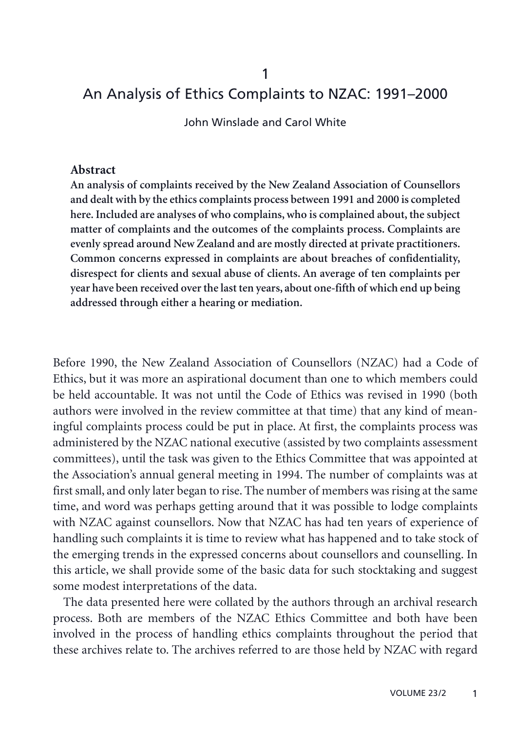# An Analysis of Ethics Complaints to NZAC: 1991–2000

John Winslade and Carol White

#### **Abstract**

**An analysis of complaints received by the New Zealand Association of Counsellors and dealt with by the ethics complaints process between 1991 and 2000 is completed here. Included are analyses of who complains, who is complained about, the subject matter of complaints and the outcomes of the complaints process. Complaints are evenly spread around New Zealand and are mostly directed at private practitioners. Common concerns expressed in complaints are about breaches of confidentiality, disrespect for clients and sexual abuse of clients. An average of ten complaints per year have been received over the last ten years, about one-fifth of which end up being addressed through either a hearing or mediation.**

Before 1990, the New Zealand Association of Counsellors (NZAC) had a Code of Ethics, but it was more an aspirational document than one to which members could be held accountable. It was not until the Code of Ethics was revised in 1990 (both authors were involved in the review committee at that time) that any kind of meaningful complaints process could be put in place. At first, the complaints process was administered by the NZAC national executive (assisted by two complaints assessment committees), until the task was given to the Ethics Committee that was appointed at the Association's annual general meeting in 1994. The number of complaints was at first small, and only later began to rise. The number of members was rising at the same time, and word was perhaps getting around that it was possible to lodge complaints with NZAC against counsellors. Now that NZAC has had ten years of experience of handling such complaints it is time to review what has happened and to take stock of the emerging trends in the expressed concerns about counsellors and counselling. In this article, we shall provide some of the basic data for such stocktaking and suggest some modest interpretations of the data.

The data presented here were collated by the authors through an archival research process. Both are members of the NZAC Ethics Committee and both have been involved in the process of handling ethics complaints throughout the period that these archives relate to. The archives referred to are those held by NZAC with regard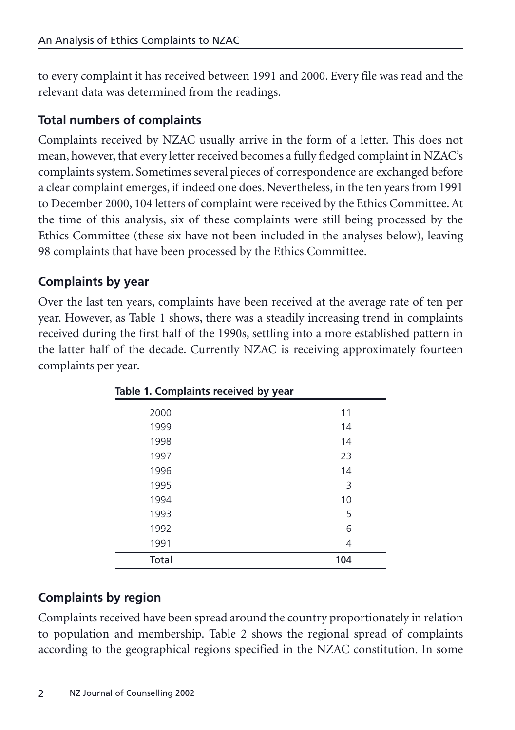to every complaint it has received between 1991 and 2000. Every file was read and the relevant data was determined from the readings.

## **Total numbers of complaints**

Complaints received by NZAC usually arrive in the form of a letter. This does not mean, however, that every letter received becomes a fully fledged complaint in NZAC's complaints system. Sometimes several pieces of correspondence are exchanged before a clear complaint emerges, if indeed one does. Nevertheless, in the ten years from 1991 to December 2000, 104 letters of complaint were received by the Ethics Committee. At the time of this analysis, six of these complaints were still being processed by the Ethics Committee (these six have not been included in the analyses below), leaving 98 complaints that have been processed by the Ethics Committee.

## **Complaints by year**

Over the last ten years, complaints have been received at the average rate of ten per year. However, as Table 1 shows, there was a steadily increasing trend in complaints received during the first half of the 1990s, settling into a more established pattern in the latter half of the decade. Currently NZAC is receiving approximately fourteen complaints per year.

| able 1. Complaints received by year |     |  |
|-------------------------------------|-----|--|
| 2000                                | 11  |  |
| 1999                                | 14  |  |
| 1998                                | 14  |  |
| 1997                                | 23  |  |
| 1996                                | 14  |  |
| 1995                                | 3   |  |
| 1994                                | 10  |  |
| 1993                                | 5   |  |
| 1992                                | 6   |  |
| 1991                                | 4   |  |
| Total                               | 104 |  |

**Table 1. Complaints received by year**

## **Complaints by region**

Complaints received have been spread around the country proportionately in relation to population and membership. Table 2 shows the regional spread of complaints according to the geographical regions specified in the NZAC constitution. In some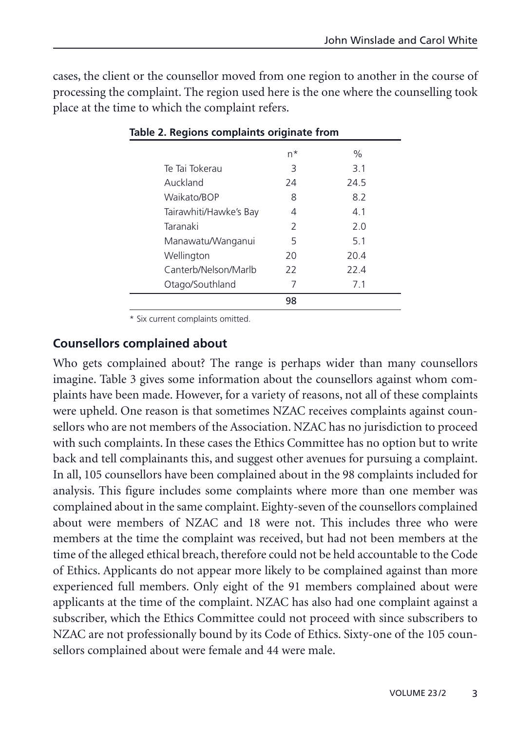cases, the client or the counsellor moved from one region to another in the course of processing the complaint. The region used here is the one where the counselling took place at the time to which the complaint refers.

| n* | $\%$ |  |  |
|----|------|--|--|
| 3  | 3.1  |  |  |
| 24 | 24.5 |  |  |
| 8  | 8.2  |  |  |
| 4  | 4.1  |  |  |
| 2  | 2.0  |  |  |
| 5  | 5.1  |  |  |
| 20 | 20.4 |  |  |
| 22 | 22.4 |  |  |
| 7  | 7.1  |  |  |
| 98 |      |  |  |
|    |      |  |  |

|  | Table 2. Regions complaints originate from |  |
|--|--------------------------------------------|--|
|  |                                            |  |

\* Six current complaints omitted.

#### **Counsellors complained about**

Who gets complained about? The range is perhaps wider than many counsellors imagine. Table 3 gives some information about the counsellors against whom complaints have been made. However, for a variety of reasons, not all of these complaints were upheld. One reason is that sometimes NZAC receives complaints against counsellors who are not members of the Association. NZAC has no jurisdiction to proceed with such complaints. In these cases the Ethics Committee has no option but to write back and tell complainants this, and suggest other avenues for pursuing a complaint. In all, 105 counsellors have been complained about in the 98 complaints included for analysis. This figure includes some complaints where more than one member was complained about in the same complaint. Eighty-seven of the counsellors complained about were members of NZAC and 18 were not. This includes three who were members at the time the complaint was received, but had not been members at the time of the alleged ethical breach, therefore could not be held accountable to the Code of Ethics. Applicants do not appear more likely to be complained against than more experienced full members. Only eight of the 91 members complained about were applicants at the time of the complaint. NZAC has also had one complaint against a subscriber, which the Ethics Committee could not proceed with since subscribers to NZAC are not professionally bound by its Code of Ethics. Sixty-one of the 105 counsellors complained about were female and 44 were male.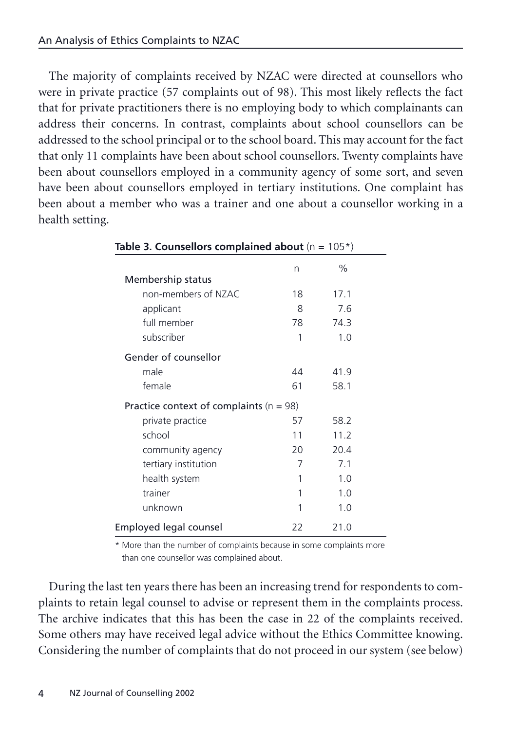The majority of complaints received by NZAC were directed at counsellors who were in private practice (57 complaints out of 98). This most likely reflects the fact that for private practitioners there is no employing body to which complainants can address their concerns. In contrast, complaints about school counsellors can be addressed to the school principal or to the school board. This may account for the fact that only 11 complaints have been about school counsellors. Twenty complaints have been about counsellors employed in a community agency of some sort, and seven have been about counsellors employed in tertiary institutions. One complaint has been about a member who was a trainer and one about a counsellor working in a health setting.

| Table 3. Counsellors complained about $(n = 105^*)$ |    |                |  |
|-----------------------------------------------------|----|----------------|--|
| Membership status                                   | n  | $\%$           |  |
| non-members of NZAC                                 | 18 | 17.1           |  |
| applicant                                           | 8  | 7.6            |  |
| full member                                         | 78 | 74.3           |  |
| subscriber                                          | 1  | 1.0            |  |
| Gender of counsellor                                |    |                |  |
| male                                                | 44 | 41.9           |  |
| female                                              | 61 | 58.1           |  |
| Practice context of complaints $(n = 98)$           |    |                |  |
| private practice                                    | 57 | 58.2           |  |
| school                                              | 11 | 11.2           |  |
| community agency                                    | 20 | 20.4           |  |
| tertiary institution                                | 7  | 7 <sub>1</sub> |  |
| health system                                       | 1  | 1.0            |  |
| trainer                                             | 1  | 1.0            |  |
| unknown                                             | 1  | 1.0            |  |
| Employed legal counsel                              | 22 | 21.0           |  |

\* More than the number of complaints because in some complaints more than one counsellor was complained about.

During the last ten years there has been an increasing trend for respondents to complaints to retain legal counsel to advise or represent them in the complaints process. The archive indicates that this has been the case in 22 of the complaints received. Some others may have received legal advice without the Ethics Committee knowing. Considering the number of complaints that do not proceed in our system (see below)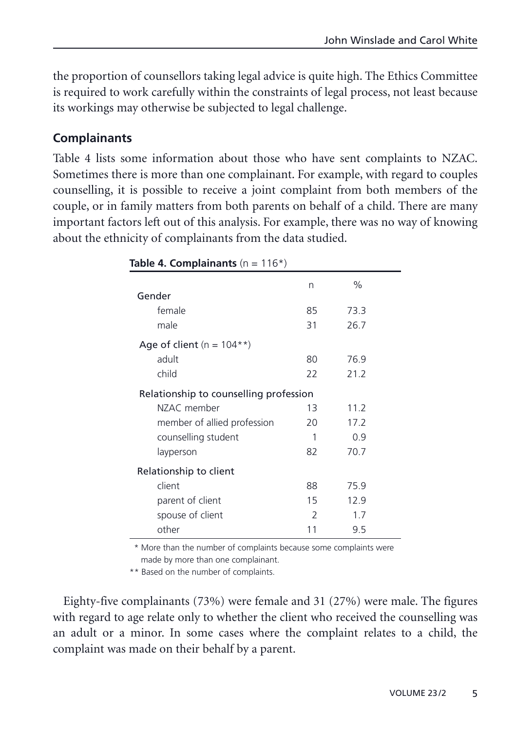the proportion of counsellors taking legal advice is quite high. The Ethics Committee is required to work carefully within the constraints of legal process, not least because its workings may otherwise be subjected to legal challenge.

### **Complainants**

Table 4 lists some information about those who have sent complaints to NZAC. Sometimes there is more than one complainant. For example, with regard to couples counselling, it is possible to receive a joint complaint from both members of the couple, or in family matters from both parents on behalf of a child. There are many important factors left out of this analysis. For example, there was no way of knowing about the ethnicity of complainants from the data studied.

|                                        | n             | $\%$ |  |
|----------------------------------------|---------------|------|--|
| Gender                                 |               |      |  |
| female                                 | 85            | 73.3 |  |
| male                                   | 31            | 26.7 |  |
| Age of client ( $n = 104**$ )          |               |      |  |
| adult                                  | 80            | 76.9 |  |
| child                                  | 22            | 21.2 |  |
| Relationship to counselling profession |               |      |  |
| NZAC member                            | 13            | 11.2 |  |
| member of allied profession            | 20            | 17.2 |  |
| counselling student                    | 1             | 0.9  |  |
| layperson                              | 82            | 70.7 |  |
| Relationship to client                 |               |      |  |
| client                                 | 88            | 75.9 |  |
| parent of client                       | 15            | 12.9 |  |
| spouse of client                       | $\mathcal{P}$ | 1.7  |  |
| other                                  | 11            | 9.5  |  |

**Table 4. Complainants**  $(n = 116*)$ 

\* More than the number of complaints because some complaints were made by more than one complainant.

\*\* Based on the number of complaints.

Eighty-five complainants (73%) were female and 31 (27%) were male. The figures with regard to age relate only to whether the client who received the counselling was an adult or a minor. In some cases where the complaint relates to a child, the complaint was made on their behalf by a parent.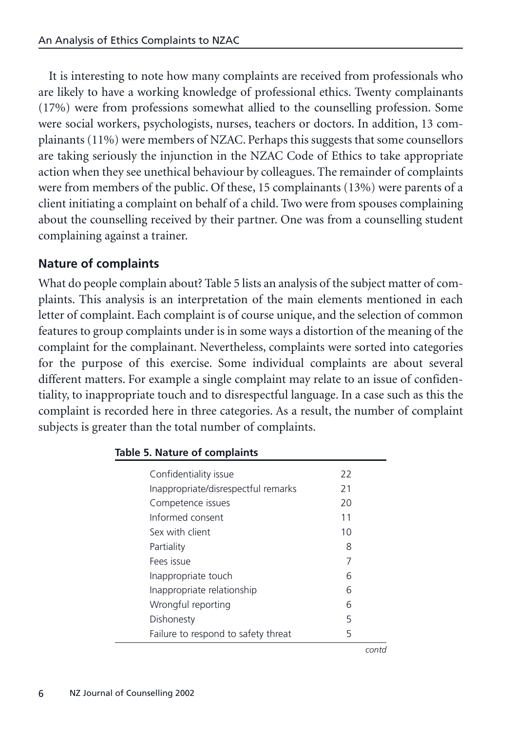It is interesting to note how many complaints are received from professionals who are likely to have a working knowledge of professional ethics. Twenty complainants (17%) were from professions somewhat allied to the counselling profession. Some were social workers, psychologists, nurses, teachers or doctors. In addition, 13 complainants (11%) were members of NZAC. Perhaps this suggests that some counsellors are taking seriously the injunction in the NZAC Code of Ethics to take appropriate action when they see unethical behaviour by colleagues. The remainder of complaints were from members of the public. Of these, 15 complainants (13%) were parents of a client initiating a complaint on behalf of a child. Two were from spouses complaining about the counselling received by their partner. One was from a counselling student complaining against a trainer.

## **Nature of complaints**

What do people complain about? Table 5 lists an analysis of the subject matter of complaints. This analysis is an interpretation of the main elements mentioned in each letter of complaint. Each complaint is of course unique, and the selection of common features to group complaints under is in some ways a distortion of the meaning of the complaint for the complainant. Nevertheless, complaints were sorted into categories for the purpose of this exercise. Some individual complaints are about several different matters. For example a single complaint may relate to an issue of confidentiality, to inappropriate touch and to disrespectful language. In a case such as this the complaint is recorded here in three categories. As a result, the number of complaint subjects is greater than the total number of complaints.

| Confidentiality issue               | 22 |
|-------------------------------------|----|
| Inappropriate/disrespectful remarks | 21 |
| Competence issues                   | 20 |
| Informed consent                    | 11 |
| Sex with client                     | 10 |
| Partiality                          | 8  |
| Fees issue                          | 7  |
| Inappropriate touch                 | 6  |
| Inappropriate relationship          | 6  |
| Wrongful reporting                  | 6  |
| Dishonesty                          | 5  |
| Failure to respond to safety threat | 5  |

#### **Table 5. Nature of complaints**

*contd*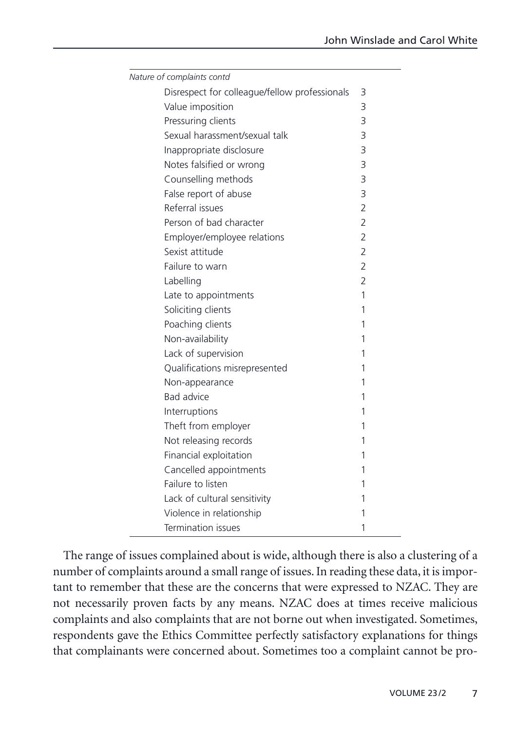| Nature of complaints contd                    |                |
|-----------------------------------------------|----------------|
| Disrespect for colleague/fellow professionals | 3              |
| Value imposition                              | 3              |
| Pressuring clients                            | 3              |
| Sexual harassment/sexual talk                 | 3              |
| Inappropriate disclosure                      | 3              |
| Notes falsified or wrong                      | 3              |
| Counselling methods                           | 3              |
| False report of abuse                         | 3              |
| Referral issues                               | $\overline{2}$ |
| Person of bad character                       | $\overline{2}$ |
| Employer/employee relations                   | $\overline{2}$ |
| Sexist attitude                               | $\overline{2}$ |
| Failure to warn                               | $\overline{2}$ |
| Labelling                                     | $\overline{2}$ |
| Late to appointments                          | 1              |
| Soliciting clients                            | 1              |
| Poaching clients                              | 1              |
| Non-availability                              | 1              |
| Lack of supervision                           | 1              |
| Qualifications misrepresented                 | 1              |
| Non-appearance                                | 1              |
| <b>Bad advice</b>                             | 1              |
| Interruptions                                 | 1              |
| Theft from employer                           | 1              |
| Not releasing records                         | 1              |
| Financial exploitation                        | 1              |
| Cancelled appointments                        | 1              |
| Failure to listen                             | 1              |
| Lack of cultural sensitivity                  | 1              |
| Violence in relationship                      | 1              |
| Termination issues                            | 1              |

The range of issues complained about is wide, although there is also a clustering of a number of complaints around a small range of issues. In reading these data, it is important to remember that these are the concerns that were expressed to NZAC. They are not necessarily proven facts by any means. NZAC does at times receive malicious complaints and also complaints that are not borne out when investigated. Sometimes, respondents gave the Ethics Committee perfectly satisfactory explanations for things that complainants were concerned about. Sometimes too a complaint cannot be pro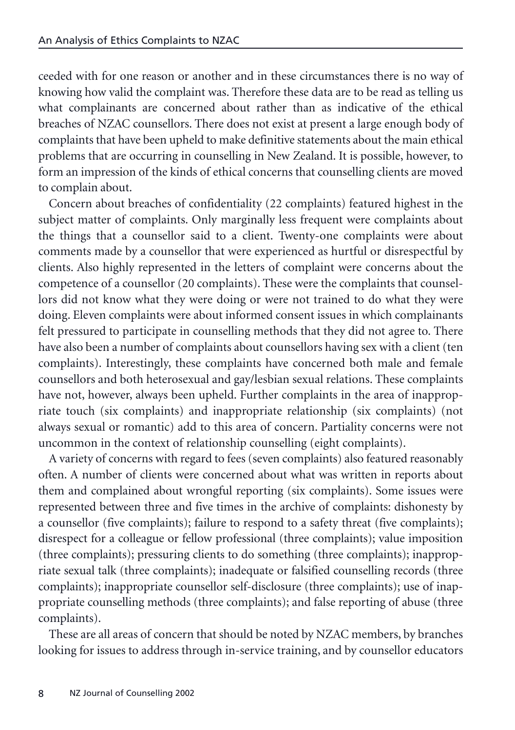ceeded with for one reason or another and in these circumstances there is no way of knowing how valid the complaint was. Therefore these data are to be read as telling us what complainants are concerned about rather than as indicative of the ethical breaches of NZAC counsellors. There does not exist at present a large enough body of complaints that have been upheld to make definitive statements about the main ethical problems that are occurring in counselling in New Zealand. It is possible, however, to form an impression of the kinds of ethical concerns that counselling clients are moved to complain about.

Concern about breaches of confidentiality (22 complaints) featured highest in the subject matter of complaints. Only marginally less frequent were complaints about the things that a counsellor said to a client. Twenty-one complaints were about comments made by a counsellor that were experienced as hurtful or disrespectful by clients. Also highly represented in the letters of complaint were concerns about the competence of a counsellor (20 complaints). These were the complaints that counsellors did not know what they were doing or were not trained to do what they were doing. Eleven complaints were about informed consent issues in which complainants felt pressured to participate in counselling methods that they did not agree to. There have also been a number of complaints about counsellors having sex with a client (ten complaints). Interestingly, these complaints have concerned both male and female counsellors and both heterosexual and gay/lesbian sexual relations. These complaints have not, however, always been upheld. Further complaints in the area of inappropriate touch (six complaints) and inappropriate relationship (six complaints) (not always sexual or romantic) add to this area of concern. Partiality concerns were not uncommon in the context of relationship counselling (eight complaints).

A variety of concerns with regard to fees (seven complaints) also featured reasonably often. A number of clients were concerned about what was written in reports about them and complained about wrongful reporting (six complaints). Some issues were represented between three and five times in the archive of complaints: dishonesty by a counsellor (five complaints); failure to respond to a safety threat (five complaints); disrespect for a colleague or fellow professional (three complaints); value imposition (three complaints); pressuring clients to do something (three complaints); inappropriate sexual talk (three complaints); inadequate or falsified counselling records (three complaints); inappropriate counsellor self-disclosure (three complaints); use of inappropriate counselling methods (three complaints); and false reporting of abuse (three complaints).

These are all areas of concern that should be noted by NZAC members, by branches looking for issues to address through in-service training, and by counsellor educators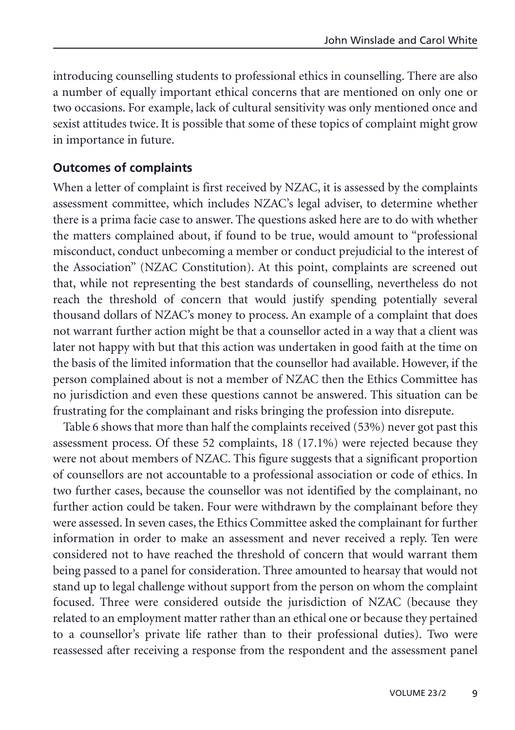introducing counselling students to professional ethics in counselling. There are also a number of equally important ethical concerns that are mentioned on only one or two occasions. For example, lack of cultural sensitivity was only mentioned once and sexist attitudes twice. It is possible that some of these topics of complaint might grow in importance in future.

### **Outcomes of complaints**

When a letter of complaint is first received by NZAC, it is assessed by the complaints assessment committee, which includes NZAC's legal adviser, to determine whether there is a prima facie case to answer. The questions asked here are to do with whether the matters complained about, if found to be true, would amount to "professional misconduct, conduct unbecoming a member or conduct prejudicial to the interest of the Association" (NZAC Constitution). At this point, complaints are screened out that, while not representing the best standards of counselling, nevertheless do not reach the threshold of concern that would justify spending potentially several thousand dollars of NZAC's money to process. An example of a complaint that does not warrant further action might be that a counsellor acted in a way that a client was later not happy with but that this action was undertaken in good faith at the time on the basis of the limited information that the counsellor had available. However, if the person complained about is not a member of NZAC then the Ethics Committee has no jurisdiction and even these questions cannot be answered. This situation can be frustrating for the complainant and risks bringing the profession into disrepute.

Table 6 shows that more than half the complaints received (53%) never got past this assessment process. Of these 52 complaints, 18 (17.1%) were rejected because they were not about members of NZAC. This figure suggests that a significant proportion of counsellors are not accountable to a professional association or code of ethics. In two further cases, because the counsellor was not identified by the complainant, no further action could be taken. Four were withdrawn by the complainant before they were assessed. In seven cases, the Ethics Committee asked the complainant for further information in order to make an assessment and never received a reply. Ten were considered not to have reached the threshold of concern that would warrant them being passed to a panel for consideration. Three amounted to hearsay that would not stand up to legal challenge without support from the person on whom the complaint focused. Three were considered outside the jurisdiction of NZAC (because they related to an employment matter rather than an ethical one or because they pertained to a counsellor's private life rather than to their professional duties). Two were reassessed after receiving a response from the respondent and the assessment panel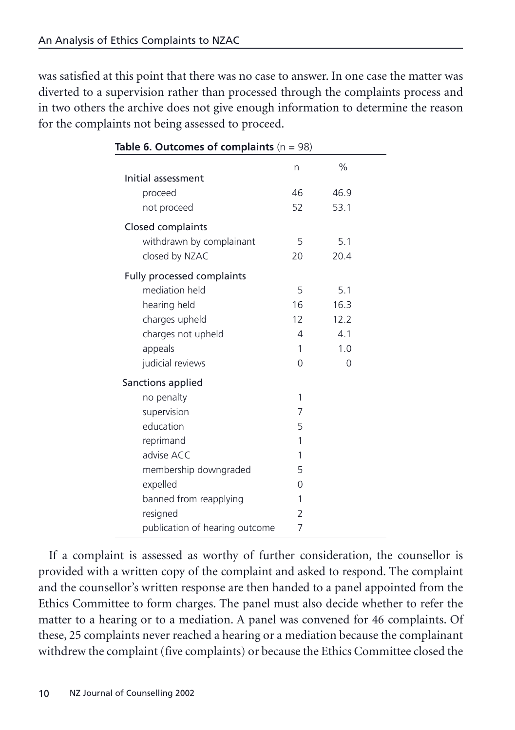was satisfied at this point that there was no case to answer. In one case the matter was diverted to a supervision rather than processed through the complaints process and in two others the archive does not give enough information to determine the reason for the complaints not being assessed to proceed.

| Table 6. Outcomes of complaints $(n = 98)$ |                |          |  |
|--------------------------------------------|----------------|----------|--|
| Initial assessment                         | n              | $\%$     |  |
| proceed                                    | 46             | 46.9     |  |
| not proceed                                | 52             | 53.1     |  |
| Closed complaints                          |                |          |  |
| withdrawn by complainant                   | 5              | 5.1      |  |
| closed by NZAC                             | 20             | 20.4     |  |
| Fully processed complaints                 |                |          |  |
| mediation held                             | 5              | 5.1      |  |
| hearing held                               | 16             | 16.3     |  |
| charges upheld                             | 12             | 12.2     |  |
| charges not upheld                         | 4              | 4.1      |  |
| appeals                                    | 1              | 1.0      |  |
| judicial reviews                           | $\Omega$       | $\Omega$ |  |
| Sanctions applied                          |                |          |  |
| no penalty                                 | 1              |          |  |
| supervision                                | 7              |          |  |
| education                                  | 5              |          |  |
| reprimand                                  | 1              |          |  |
| advise ACC                                 | 1              |          |  |
| membership downgraded                      | 5              |          |  |
| expelled                                   | 0              |          |  |
| banned from reapplying                     | 1              |          |  |
| resigned                                   | $\overline{2}$ |          |  |
| publication of hearing outcome             | 7              |          |  |

**Table 6. Outcomes of complaints** (n = 98)

If a complaint is assessed as worthy of further consideration, the counsellor is provided with a written copy of the complaint and asked to respond. The complaint and the counsellor's written response are then handed to a panel appointed from the Ethics Committee to form charges. The panel must also decide whether to refer the matter to a hearing or to a mediation. A panel was convened for 46 complaints. Of these, 25 complaints never reached a hearing or a mediation because the complainant withdrew the complaint (five complaints) or because the Ethics Committee closed the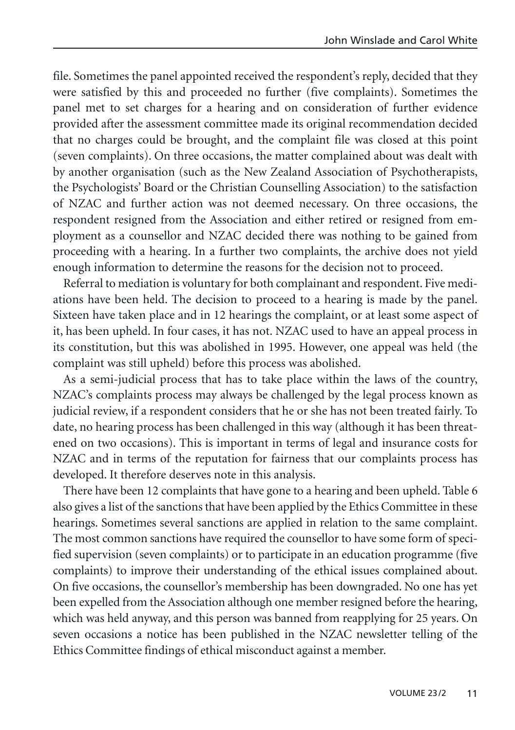file. Sometimes the panel appointed received the respondent's reply, decided that they were satisfied by this and proceeded no further (five complaints). Sometimes the panel met to set charges for a hearing and on consideration of further evidence provided after the assessment committee made its original recommendation decided that no charges could be brought, and the complaint file was closed at this point (seven complaints). On three occasions, the matter complained about was dealt with by another organisation (such as the New Zealand Association of Psychotherapists, the Psychologists' Board or the Christian Counselling Association) to the satisfaction of NZAC and further action was not deemed necessary. On three occasions, the respondent resigned from the Association and either retired or resigned from employment as a counsellor and NZAC decided there was nothing to be gained from proceeding with a hearing. In a further two complaints, the archive does not yield enough information to determine the reasons for the decision not to proceed.

Referral to mediation is voluntary for both complainant and respondent. Five mediations have been held. The decision to proceed to a hearing is made by the panel. Sixteen have taken place and in 12 hearings the complaint, or at least some aspect of it, has been upheld. In four cases, it has not. NZAC used to have an appeal process in its constitution, but this was abolished in 1995. However, one appeal was held (the complaint was still upheld) before this process was abolished.

As a semi-judicial process that has to take place within the laws of the country, NZAC's complaints process may always be challenged by the legal process known as judicial review, if a respondent considers that he or she has not been treated fairly. To date, no hearing process has been challenged in this way (although it has been threatened on two occasions). This is important in terms of legal and insurance costs for NZAC and in terms of the reputation for fairness that our complaints process has developed. It therefore deserves note in this analysis.

There have been 12 complaints that have gone to a hearing and been upheld. Table 6 also gives a list of the sanctions that have been applied by the Ethics Committee in these hearings. Sometimes several sanctions are applied in relation to the same complaint. The most common sanctions have required the counsellor to have some form of specified supervision (seven complaints) or to participate in an education programme (five complaints) to improve their understanding of the ethical issues complained about. On five occasions, the counsellor's membership has been downgraded. No one has yet been expelled from the Association although one member resigned before the hearing, which was held anyway, and this person was banned from reapplying for 25 years. On seven occasions a notice has been published in the NZAC newsletter telling of the Ethics Committee findings of ethical misconduct against a member.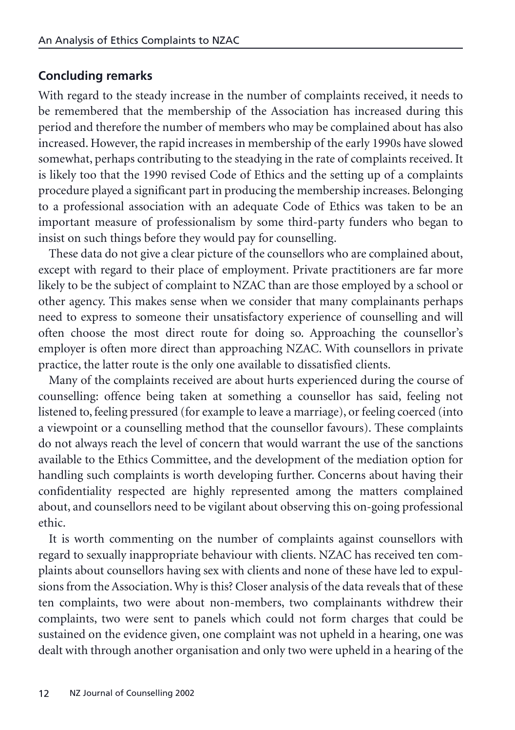## **Concluding remarks**

With regard to the steady increase in the number of complaints received, it needs to be remembered that the membership of the Association has increased during this period and therefore the number of members who may be complained about has also increased. However, the rapid increases in membership of the early 1990s have slowed somewhat, perhaps contributing to the steadying in the rate of complaints received. It is likely too that the 1990 revised Code of Ethics and the setting up of a complaints procedure played a significant part in producing the membership increases. Belonging to a professional association with an adequate Code of Ethics was taken to be an important measure of professionalism by some third-party funders who began to insist on such things before they would pay for counselling.

These data do not give a clear picture of the counsellors who are complained about, except with regard to their place of employment. Private practitioners are far more likely to be the subject of complaint to NZAC than are those employed by a school or other agency. This makes sense when we consider that many complainants perhaps need to express to someone their unsatisfactory experience of counselling and will often choose the most direct route for doing so. Approaching the counsellor's employer is often more direct than approaching NZAC. With counsellors in private practice, the latter route is the only one available to dissatisfied clients.

Many of the complaints received are about hurts experienced during the course of counselling: offence being taken at something a counsellor has said, feeling not listened to, feeling pressured (for example to leave a marriage), or feeling coerced (into a viewpoint or a counselling method that the counsellor favours). These complaints do not always reach the level of concern that would warrant the use of the sanctions available to the Ethics Committee, and the development of the mediation option for handling such complaints is worth developing further. Concerns about having their confidentiality respected are highly represented among the matters complained about, and counsellors need to be vigilant about observing this on-going professional ethic.

It is worth commenting on the number of complaints against counsellors with regard to sexually inappropriate behaviour with clients. NZAC has received ten complaints about counsellors having sex with clients and none of these have led to expulsions from the Association. Why is this? Closer analysis of the data reveals that of these ten complaints, two were about non-members, two complainants withdrew their complaints, two were sent to panels which could not form charges that could be sustained on the evidence given, one complaint was not upheld in a hearing, one was dealt with through another organisation and only two were upheld in a hearing of the